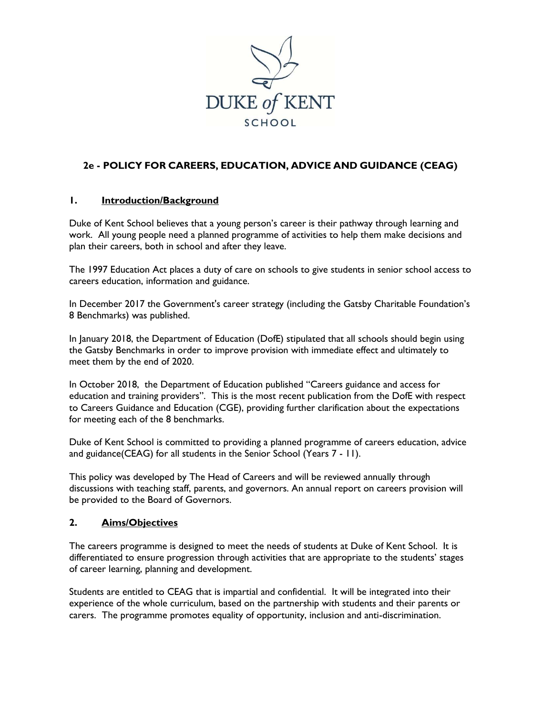

## **2e - POLICY FOR CAREERS, EDUCATION, ADVICE AND GUIDANCE (CEAG)**

#### **1. Introduction/Background**

Duke of Kent School believes that a young person's career is their pathway through learning and work. All young people need a planned programme of activities to help them make decisions and plan their careers, both in school and after they leave.

The 1997 Education Act places a duty of care on schools to give students in senior school access to careers education, information and guidance.

In December 2017 the Government's career strategy (including the Gatsby Charitable Foundation's 8 Benchmarks) was published.

In January 2018, the Department of Education (DofE) stipulated that all schools should begin using the Gatsby Benchmarks in order to improve provision with immediate effect and ultimately to meet them by the end of 2020.

In October 2018, the Department of Education published "Careers guidance and access for education and training providers". This is the most recent publication from the DofE with respect to Careers Guidance and Education (CGE), providing further clarification about the expectations for meeting each of the 8 benchmarks.

Duke of Kent School is committed to providing a planned programme of careers education, advice and guidance(CEAG) for all students in the Senior School (Years 7 - 11).

This policy was developed by The Head of Careers and will be reviewed annually through discussions with teaching staff, parents, and governors. An annual report on careers provision will be provided to the Board of Governors.

#### **2. Aims/Objectives**

The careers programme is designed to meet the needs of students at Duke of Kent School. It is differentiated to ensure progression through activities that are appropriate to the students' stages of career learning, planning and development.

Students are entitled to CEAG that is impartial and confidential. It will be integrated into their experience of the whole curriculum, based on the partnership with students and their parents or carers. The programme promotes equality of opportunity, inclusion and anti-discrimination.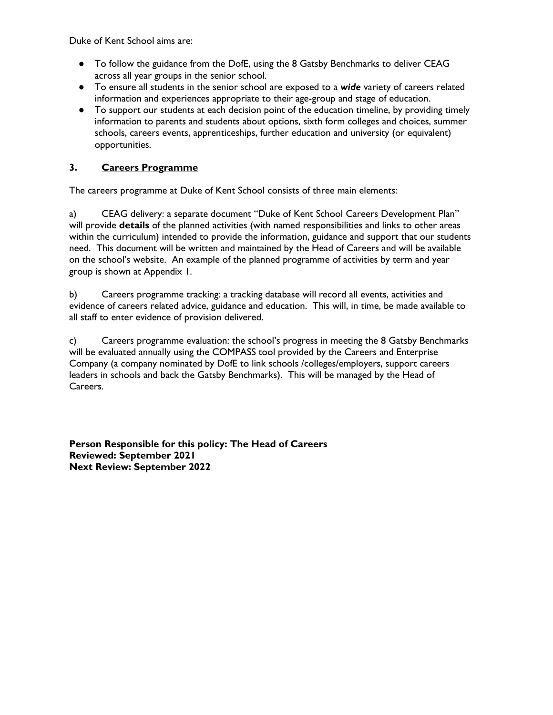Duke of Kent School aims are:

- To follow the guidance from the DofE, using the 8 Gatsby Benchmarks to deliver CEAG across all year groups in the senior school.
- To ensure all students in the senior school are exposed to a *wide* variety of careers related information and experiences appropriate to their age-group and stage of education.
- To support our students at each decision point of the education timeline, by providing timely information to parents and students about options, sixth form colleges and choices, summer schools, careers events, apprenticeships, further education and university (or equivalent) opportunities.

### **3. Careers Programme**

The careers programme at Duke of Kent School consists of three main elements:

a) CEAG delivery: a separate document "Duke of Kent School Careers Development Plan" will provide **details** of the planned activities (with named responsibilities and links to other areas within the curriculum) intended to provide the information, guidance and support that our students need. This document will be written and maintained by the Head of Careers and will be available on the school's website. An example of the planned programme of activities by term and year group is shown at Appendix 1.

b) Careers programme tracking: a tracking database will record all events, activities and evidence of careers related advice, guidance and education. This will, in time, be made available to all staff to enter evidence of provision delivered.

c) Careers programme evaluation: the school's progress in meeting the 8 Gatsby Benchmarks will be evaluated annually using the COMPASS tool provided by the Careers and Enterprise Company (a company nominated by DofE to link schools /colleges/employers, support careers leaders in schools and back the Gatsby Benchmarks). This will be managed by the Head of Careers.

**Person Responsible for this policy: The Head of Careers Reviewed: September 2021 Next Review: September 2022**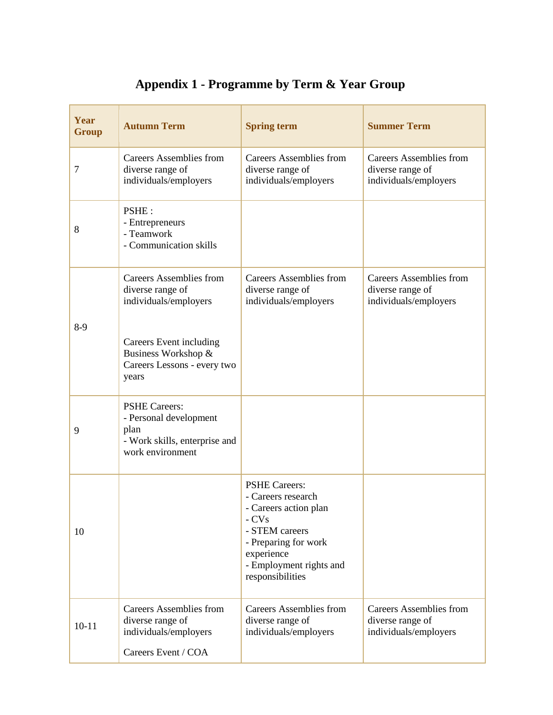| Year<br><b>Group</b> | <b>Autumn Term</b>                                                                                          | <b>Spring term</b>                                                                                                                                                                   | <b>Summer Term</b>                                                          |
|----------------------|-------------------------------------------------------------------------------------------------------------|--------------------------------------------------------------------------------------------------------------------------------------------------------------------------------------|-----------------------------------------------------------------------------|
| 7                    | <b>Careers Assemblies from</b><br>diverse range of<br>individuals/employers                                 | <b>Careers Assemblies from</b><br>diverse range of<br>individuals/employers                                                                                                          | <b>Careers Assemblies from</b><br>diverse range of<br>individuals/employers |
| 8                    | PSHE:<br>- Entrepreneurs<br>- Teamwork<br>- Communication skills                                            |                                                                                                                                                                                      |                                                                             |
| $8-9$                | <b>Careers Assemblies from</b><br>diverse range of<br>individuals/employers                                 | <b>Careers Assemblies from</b><br>diverse range of<br>individuals/employers                                                                                                          | <b>Careers Assemblies from</b><br>diverse range of<br>individuals/employers |
|                      | Careers Event including<br>Business Workshop &<br>Careers Lessons - every two<br>years                      |                                                                                                                                                                                      |                                                                             |
| 9                    | <b>PSHE Careers:</b><br>- Personal development<br>plan<br>- Work skills, enterprise and<br>work environment |                                                                                                                                                                                      |                                                                             |
| 10                   |                                                                                                             | <b>PSHE Careers:</b><br>- Careers research<br>- Careers action plan<br>$-CVs$<br>- STEM careers<br>- Preparing for work<br>experience<br>- Employment rights and<br>responsibilities |                                                                             |
| $10 - 11$            | <b>Careers Assemblies from</b><br>diverse range of<br>individuals/employers<br>Careers Event / COA          | <b>Careers Assemblies from</b><br>diverse range of<br>individuals/employers                                                                                                          | <b>Careers Assemblies from</b><br>diverse range of<br>individuals/employers |

# **Appendix 1 - Programme by Term & Year Group**